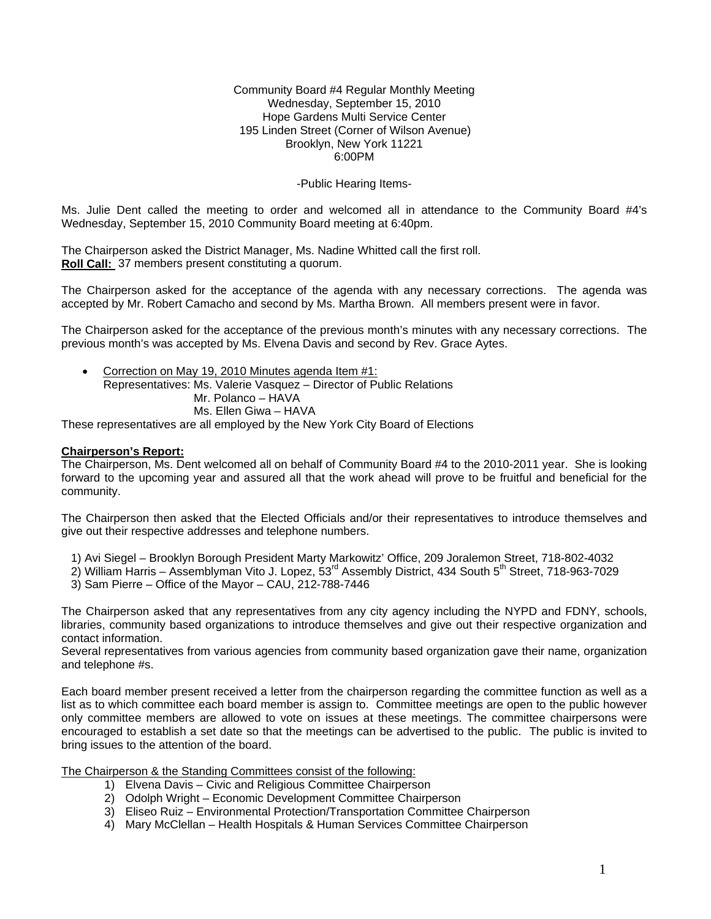#### Community Board #4 Regular Monthly Meeting Wednesday, September 15, 2010 Hope Gardens Multi Service Center 195 Linden Street (Corner of Wilson Avenue) Brooklyn, New York 11221 6:00PM

## -Public Hearing Items-

Ms. Julie Dent called the meeting to order and welcomed all in attendance to the Community Board #4's Wednesday, September 15, 2010 Community Board meeting at 6:40pm.

The Chairperson asked the District Manager, Ms. Nadine Whitted call the first roll. **Roll Call:** 37 members present constituting a quorum.

The Chairperson asked for the acceptance of the agenda with any necessary corrections. The agenda was accepted by Mr. Robert Camacho and second by Ms. Martha Brown. All members present were in favor.

The Chairperson asked for the acceptance of the previous month's minutes with any necessary corrections. The previous month's was accepted by Ms. Elvena Davis and second by Rev. Grace Aytes.

• Correction on May 19, 2010 Minutes agenda Item #1: Representatives: Ms. Valerie Vasquez – Director of Public Relations Mr. Polanco – HAVA Ms. Ellen Giwa – HAVA

These representatives are all employed by the New York City Board of Elections

### **Chairperson's Report:**

The Chairperson, Ms. Dent welcomed all on behalf of Community Board #4 to the 2010-2011 year. She is looking forward to the upcoming year and assured all that the work ahead will prove to be fruitful and beneficial for the community.

The Chairperson then asked that the Elected Officials and/or their representatives to introduce themselves and give out their respective addresses and telephone numbers.

1) Avi Siegel – Brooklyn Borough President Marty Markowitz' Office, 209 Joralemon Street, 718-802-4032

2) William Harris – Assemblyman Vito J. Lopez,  $53<sup>rd</sup>$  Assembly District, 434 South  $5<sup>th</sup>$  Street, 718-963-7029

3) Sam Pierre – Office of the Mayor – CAU, 212-788-7446

The Chairperson asked that any representatives from any city agency including the NYPD and FDNY, schools, libraries, community based organizations to introduce themselves and give out their respective organization and contact information.

Several representatives from various agencies from community based organization gave their name, organization and telephone #s.

Each board member present received a letter from the chairperson regarding the committee function as well as a list as to which committee each board member is assign to. Committee meetings are open to the public however only committee members are allowed to vote on issues at these meetings. The committee chairpersons were encouraged to establish a set date so that the meetings can be advertised to the public. The public is invited to bring issues to the attention of the board.

The Chairperson & the Standing Committees consist of the following:

- 1) Elvena Davis Civic and Religious Committee Chairperson
- 2) Odolph Wright Economic Development Committee Chairperson
- 3) Eliseo Ruiz Environmental Protection/Transportation Committee Chairperson
- 4) Mary McClellan Health Hospitals & Human Services Committee Chairperson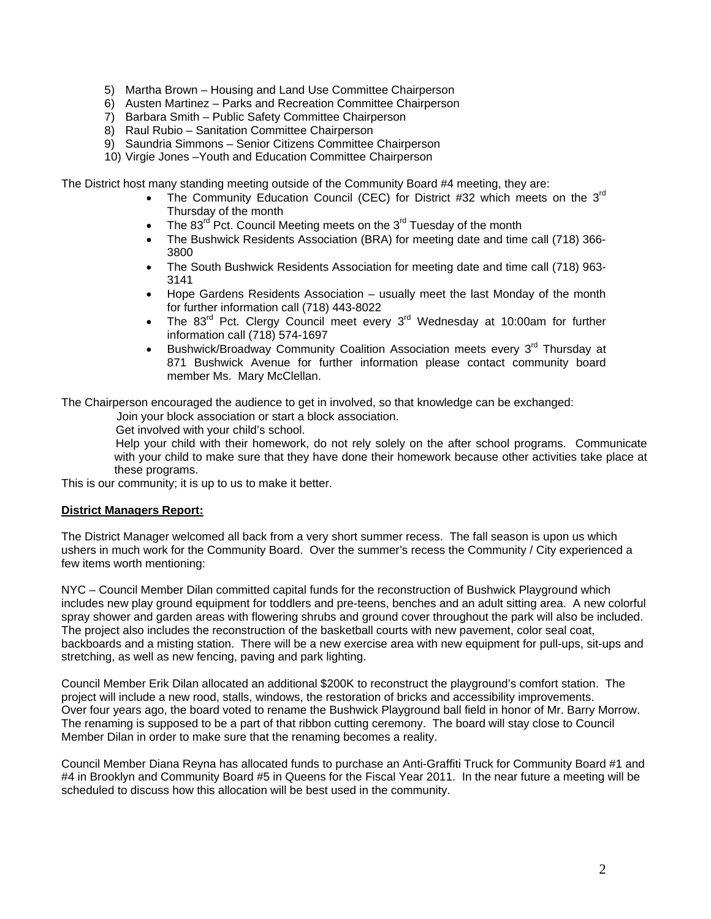- 5) Martha Brown Housing and Land Use Committee Chairperson
- 6) Austen Martinez Parks and Recreation Committee Chairperson
- 7) Barbara Smith Public Safety Committee Chairperson
- 8) Raul Rubio Sanitation Committee Chairperson
- 9) Saundria Simmons Senior Citizens Committee Chairperson
- 10) Virgie Jones –Youth and Education Committee Chairperson

The District host many standing meeting outside of the Community Board #4 meeting, they are:

- The Community Education Council (CEC) for District #32 which meets on the  $3<sup>rd</sup>$ Thursday of the month
- The  $83^{\text{rd}}$  Pct. Council Meeting meets on the  $3^{\text{rd}}$  Tuesday of the month
- The Bushwick Residents Association (BRA) for meeting date and time call (718) 366- 3800
- The South Bushwick Residents Association for meeting date and time call (718) 963- 3141
- Hope Gardens Residents Association usually meet the last Monday of the month for further information call (718) 443-8022
- The  $83<sup>rd</sup>$  Pct. Clergy Council meet every  $3<sup>rd</sup>$  Wednesday at 10:00am for further information call (718) 574-1697
- Bushwick/Broadway Community Coalition Association meets every 3<sup>rd</sup> Thursday at 871 Bushwick Avenue for further information please contact community board member Ms. Mary McClellan.

The Chairperson encouraged the audience to get in involved, so that knowledge can be exchanged:

Join your block association or start a block association.

Get involved with your child's school.

 Help your child with their homework, do not rely solely on the after school programs. Communicate with your child to make sure that they have done their homework because other activities take place at these programs.

This is our community; it is up to us to make it better.

### **District Managers Report:**

The District Manager welcomed all back from a very short summer recess. The fall season is upon us which ushers in much work for the Community Board. Over the summer's recess the Community / City experienced a few items worth mentioning:

NYC – Council Member Dilan committed capital funds for the reconstruction of Bushwick Playground which includes new play ground equipment for toddlers and pre-teens, benches and an adult sitting area. A new colorful spray shower and garden areas with flowering shrubs and ground cover throughout the park will also be included. The project also includes the reconstruction of the basketball courts with new pavement, color seal coat, backboards and a misting station. There will be a new exercise area with new equipment for pull-ups, sit-ups and stretching, as well as new fencing, paving and park lighting.

Council Member Erik Dilan allocated an additional \$200K to reconstruct the playground's comfort station. The project will include a new rood, stalls, windows, the restoration of bricks and accessibility improvements. Over four years ago, the board voted to rename the Bushwick Playground ball field in honor of Mr. Barry Morrow. The renaming is supposed to be a part of that ribbon cutting ceremony. The board will stay close to Council Member Dilan in order to make sure that the renaming becomes a reality.

Council Member Diana Reyna has allocated funds to purchase an Anti-Graffiti Truck for Community Board #1 and #4 in Brooklyn and Community Board #5 in Queens for the Fiscal Year 2011. In the near future a meeting will be scheduled to discuss how this allocation will be best used in the community.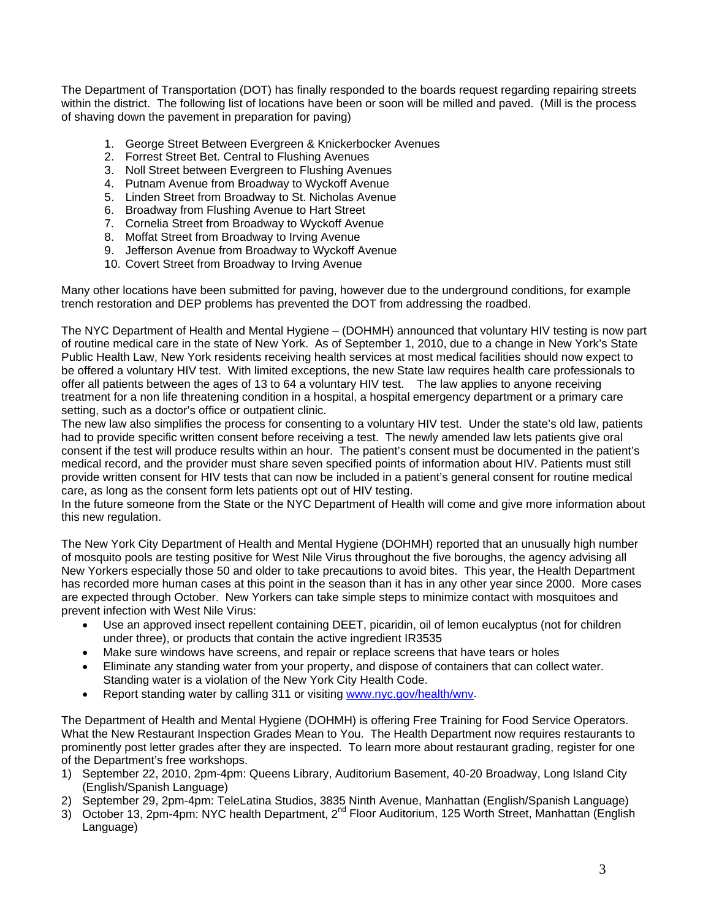The Department of Transportation (DOT) has finally responded to the boards request regarding repairing streets within the district. The following list of locations have been or soon will be milled and paved. (Mill is the process of shaving down the pavement in preparation for paving)

- 1. George Street Between Evergreen & Knickerbocker Avenues
- 2. Forrest Street Bet. Central to Flushing Avenues
- 3. Noll Street between Evergreen to Flushing Avenues
- 4. Putnam Avenue from Broadway to Wyckoff Avenue
- 5. Linden Street from Broadway to St. Nicholas Avenue
- 6. Broadway from Flushing Avenue to Hart Street
- 7. Cornelia Street from Broadway to Wyckoff Avenue
- 8. Moffat Street from Broadway to Irving Avenue
- 9. Jefferson Avenue from Broadway to Wyckoff Avenue
- 10. Covert Street from Broadway to Irving Avenue

Many other locations have been submitted for paving, however due to the underground conditions, for example trench restoration and DEP problems has prevented the DOT from addressing the roadbed.

The NYC Department of Health and Mental Hygiene – (DOHMH) announced that voluntary HIV testing is now part of routine medical care in the state of New York. As of September 1, 2010, due to a change in New York's State Public Health Law, New York residents receiving health services at most medical facilities should now expect to be offered a voluntary HIV test. With limited exceptions, the new State law requires health care professionals to offer all patients between the ages of 13 to 64 a voluntary HIV test. The law applies to anyone receiving treatment for a non life threatening condition in a hospital, a hospital emergency department or a primary care setting, such as a doctor's office or outpatient clinic.

The new law also simplifies the process for consenting to a voluntary HIV test. Under the state's old law, patients had to provide specific written consent before receiving a test. The newly amended law lets patients give oral consent if the test will produce results within an hour. The patient's consent must be documented in the patient's medical record, and the provider must share seven specified points of information about HIV. Patients must still provide written consent for HIV tests that can now be included in a patient's general consent for routine medical care, as long as the consent form lets patients opt out of HIV testing.

In the future someone from the State or the NYC Department of Health will come and give more information about this new regulation.

The New York City Department of Health and Mental Hygiene (DOHMH) reported that an unusually high number of mosquito pools are testing positive for West Nile Virus throughout the five boroughs, the agency advising all New Yorkers especially those 50 and older to take precautions to avoid bites. This year, the Health Department has recorded more human cases at this point in the season than it has in any other year since 2000. More cases are expected through October. New Yorkers can take simple steps to minimize contact with mosquitoes and prevent infection with West Nile Virus:

- Use an approved insect repellent containing DEET, picaridin, oil of lemon eucalyptus (not for children under three), or products that contain the active ingredient IR3535
- Make sure windows have screens, and repair or replace screens that have tears or holes
- Eliminate any standing water from your property, and dispose of containers that can collect water. Standing water is a violation of the New York City Health Code.
- Report standing water by calling 311 or visiting [www.nyc.gov/health/wnv.](http://www.nyc.gov/health/wnv)

The Department of Health and Mental Hygiene (DOHMH) is offering Free Training for Food Service Operators. What the New Restaurant Inspection Grades Mean to You. The Health Department now requires restaurants to prominently post letter grades after they are inspected. To learn more about restaurant grading, register for one of the Department's free workshops.

- 1) September 22, 2010, 2pm-4pm: Queens Library, Auditorium Basement, 40-20 Broadway, Long Island City (English/Spanish Language)
- 2) September 29, 2pm-4pm: TeleLatina Studios, 3835 Ninth Avenue, Manhattan (English/Spanish Language)
- 3) October 13, 2pm-4pm: NYC health Department, 2<sup>nd</sup> Floor Auditorium, 125 Worth Street, Manhattan (English Language)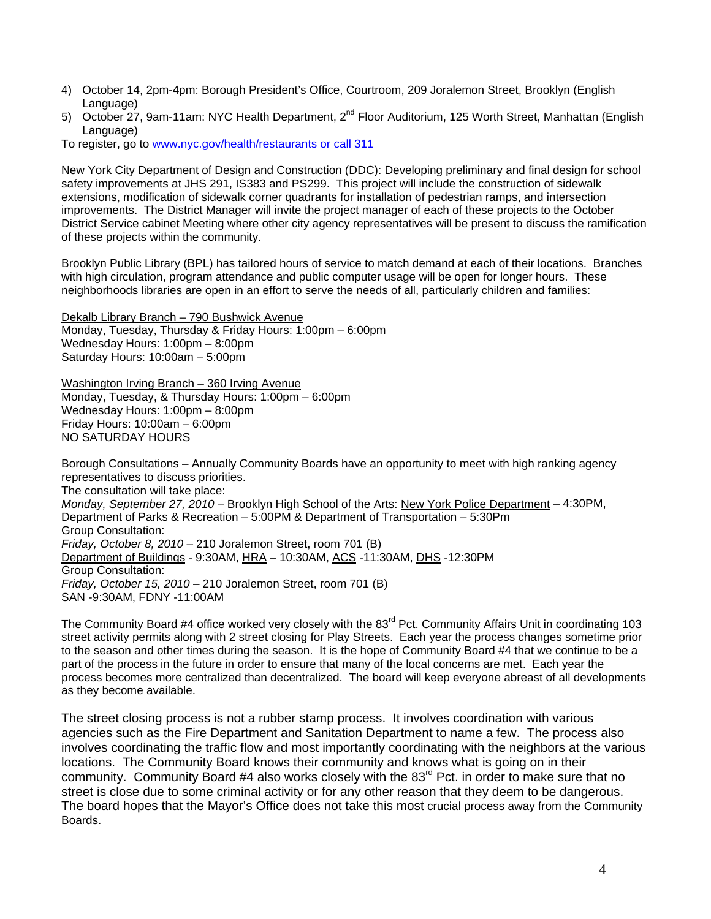- 4) October 14, 2pm-4pm: Borough President's Office, Courtroom, 209 Joralemon Street, Brooklyn (English Language)
- 5) October 27, 9am-11am: NYC Health Department, 2<sup>nd</sup> Floor Auditorium, 125 Worth Street, Manhattan (English Language)

To register, go to [www.nyc.gov/health/restaurants or call 311](http://www.nyc.gov/health/restaurants%20or%20call%20311)

New York City Department of Design and Construction (DDC): Developing preliminary and final design for school safety improvements at JHS 291, IS383 and PS299. This project will include the construction of sidewalk extensions, modification of sidewalk corner quadrants for installation of pedestrian ramps, and intersection improvements. The District Manager will invite the project manager of each of these projects to the October District Service cabinet Meeting where other city agency representatives will be present to discuss the ramification of these projects within the community.

Brooklyn Public Library (BPL) has tailored hours of service to match demand at each of their locations. Branches with high circulation, program attendance and public computer usage will be open for longer hours. These neighborhoods libraries are open in an effort to serve the needs of all, particularly children and families:

Dekalb Library Branch – 790 Bushwick Avenue Monday, Tuesday, Thursday & Friday Hours: 1:00pm – 6:00pm Wednesday Hours: 1:00pm – 8:00pm Saturday Hours: 10:00am – 5:00pm

Washington Irving Branch – 360 Irving Avenue Monday, Tuesday, & Thursday Hours: 1:00pm – 6:00pm Wednesday Hours: 1:00pm – 8:00pm Friday Hours: 10:00am – 6:00pm NO SATURDAY HOURS

Borough Consultations – Annually Community Boards have an opportunity to meet with high ranking agency representatives to discuss priorities. The consultation will take place: *Monday, September 27, 2010* – Brooklyn High School of the Arts: New York Police Department – 4:30PM, Department of Parks & Recreation – 5:00PM & Department of Transportation – 5:30Pm Group Consultation: *Friday, October 8, 2010* – 210 Joralemon Street, room 701 (B) Department of Buildings - 9:30AM, HRA – 10:30AM, ACS -11:30AM, DHS -12:30PM Group Consultation: *Friday, October 15, 2010* – 210 Joralemon Street, room 701 (B) SAN -9:30AM, FDNY -11:00AM

The Community Board #4 office worked very closely with the 83<sup>rd</sup> Pct. Community Affairs Unit in coordinating 103 street activity permits along with 2 street closing for Play Streets. Each year the process changes sometime prior to the season and other times during the season. It is the hope of Community Board #4 that we continue to be a part of the process in the future in order to ensure that many of the local concerns are met. Each year the process becomes more centralized than decentralized. The board will keep everyone abreast of all developments as they become available.

The street closing process is not a rubber stamp process. It involves coordination with various agencies such as the Fire Department and Sanitation Department to name a few. The process also involves coordinating the traffic flow and most importantly coordinating with the neighbors at the various locations. The Community Board knows their community and knows what is going on in their community. Community Board #4 also works closely with the  $83<sup>rd</sup>$  Pct. in order to make sure that no street is close due to some criminal activity or for any other reason that they deem to be dangerous. The board hopes that the Mayor's Office does not take this most crucial process away from the Community Boards.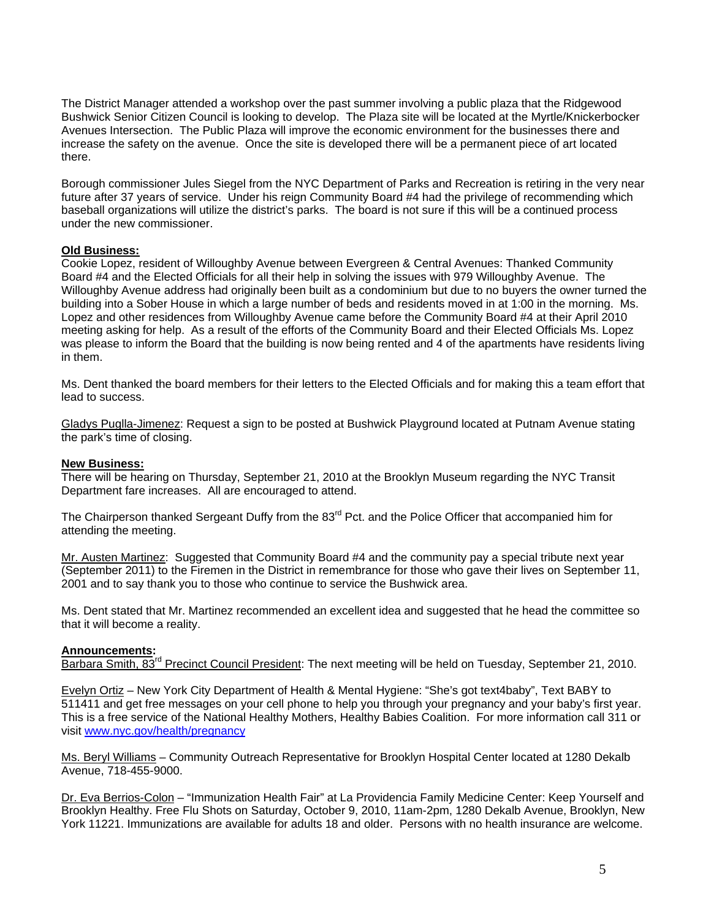The District Manager attended a workshop over the past summer involving a public plaza that the Ridgewood Bushwick Senior Citizen Council is looking to develop. The Plaza site will be located at the Myrtle/Knickerbocker Avenues Intersection. The Public Plaza will improve the economic environment for the businesses there and increase the safety on the avenue. Once the site is developed there will be a permanent piece of art located there.

Borough commissioner Jules Siegel from the NYC Department of Parks and Recreation is retiring in the very near future after 37 years of service. Under his reign Community Board #4 had the privilege of recommending which baseball organizations will utilize the district's parks. The board is not sure if this will be a continued process under the new commissioner.

# **Old Business:**

Cookie Lopez, resident of Willoughby Avenue between Evergreen & Central Avenues: Thanked Community Board #4 and the Elected Officials for all their help in solving the issues with 979 Willoughby Avenue. The Willoughby Avenue address had originally been built as a condominium but due to no buyers the owner turned the building into a Sober House in which a large number of beds and residents moved in at 1:00 in the morning. Ms. Lopez and other residences from Willoughby Avenue came before the Community Board #4 at their April 2010 meeting asking for help. As a result of the efforts of the Community Board and their Elected Officials Ms. Lopez was please to inform the Board that the building is now being rented and 4 of the apartments have residents living in them.

Ms. Dent thanked the board members for their letters to the Elected Officials and for making this a team effort that lead to success.

Gladys Puglla-Jimenez: Request a sign to be posted at Bushwick Playground located at Putnam Avenue stating the park's time of closing.

#### **New Business:**

There will be hearing on Thursday, September 21, 2010 at the Brooklyn Museum regarding the NYC Transit Department fare increases. All are encouraged to attend.

The Chairperson thanked Sergeant Duffy from the 83<sup>rd</sup> Pct. and the Police Officer that accompanied him for attending the meeting.

Mr. Austen Martinez: Suggested that Community Board #4 and the community pay a special tribute next year (September 2011) to the Firemen in the District in remembrance for those who gave their lives on September 11, 2001 and to say thank you to those who continue to service the Bushwick area.

Ms. Dent stated that Mr. Martinez recommended an excellent idea and suggested that he head the committee so that it will become a reality.

# **Announcements:**

Barbara Smith, 83<sup>rd</sup> Precinct Council President: The next meeting will be held on Tuesday, September 21, 2010.

Evelyn Ortiz – New York City Department of Health & Mental Hygiene: "She's got text4baby", Text BABY to 511411 and get free messages on your cell phone to help you through your pregnancy and your baby's first year. This is a free service of the National Healthy Mothers, Healthy Babies Coalition. For more information call 311 or visit [www.nyc.gov/health/pregnancy](http://www.nyc.gov/health/pregnancy)

Ms. Beryl Williams – Community Outreach Representative for Brooklyn Hospital Center located at 1280 Dekalb Avenue, 718-455-9000.

Dr. Eva Berrios-Colon – "Immunization Health Fair" at La Providencia Family Medicine Center: Keep Yourself and Brooklyn Healthy. Free Flu Shots on Saturday, October 9, 2010, 11am-2pm, 1280 Dekalb Avenue, Brooklyn, New York 11221. Immunizations are available for adults 18 and older. Persons with no health insurance are welcome.